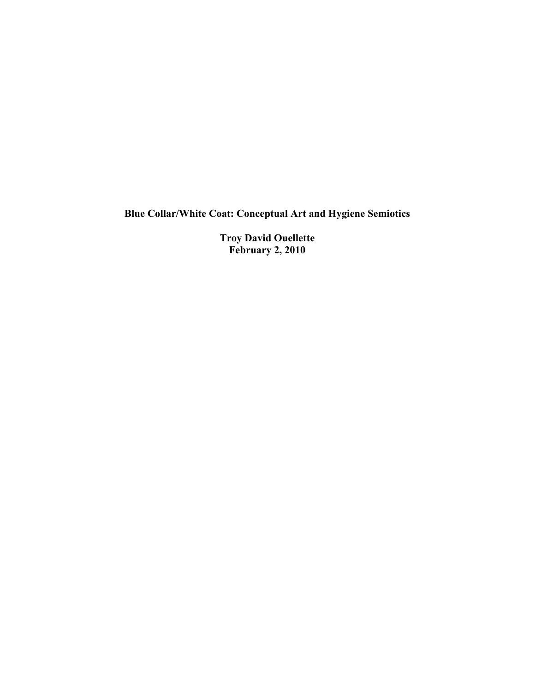**Blue Collar/White Coat: Conceptual Art and Hygiene Semiotics**

**Troy David Ouellette February 2, 2010**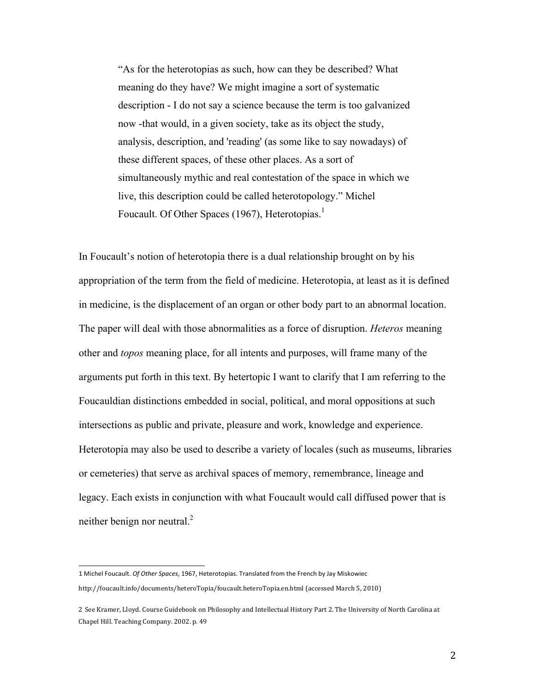"As for the heterotopias as such, how can they be described? What meaning do they have? We might imagine a sort of systematic description - I do not say a science because the term is too galvanized now -that would, in a given society, take as its object the study, analysis, description, and 'reading' (as some like to say nowadays) of these different spaces, of these other places. As a sort of simultaneously mythic and real contestation of the space in which we live, this description could be called heterotopology." Michel Foucault. Of Other Spaces (1967), Heterotopias.<sup>1</sup>

In Foucault's notion of heterotopia there is a dual relationship brought on by his appropriation of the term from the field of medicine. Heterotopia, at least as it is defined in medicine, is the displacement of an organ or other body part to an abnormal location. The paper will deal with those abnormalities as a force of disruption. *Heteros* meaning other and *topos* meaning place, for all intents and purposes, will frame many of the arguments put forth in this text. By hetertopic I want to clarify that I am referring to the Foucauldian distinctions embedded in social, political, and moral oppositions at such intersections as public and private, pleasure and work, knowledge and experience. Heterotopia may also be used to describe a variety of locales (such as museums, libraries or cemeteries) that serve as archival spaces of memory, remembrance, lineage and legacy. Each exists in conjunction with what Foucault would call diffused power that is neither benign nor neutral.<sup>2</sup>

<sup>!!!!!!!!!!!!!!!!!!!!!!!!!!!!!!!!!!!!!!!!!!!!!!!!!!!!!!!</sup> 1 Michel Foucault. Of Other Spaces, 1967, Heterotopias. Translated from the French by Jay Miskowiec http://foucault.info/documents/heteroTopia/foucault.heteroTopia.en.html (accessed March 5, 2010)

<sup>2</sup> See Kramer, Lloyd. Course Guidebook on Philosophy and Intellectual History Part 2. The University of North Carolina at Chapel Hill. Teaching Company. 2002. p. 49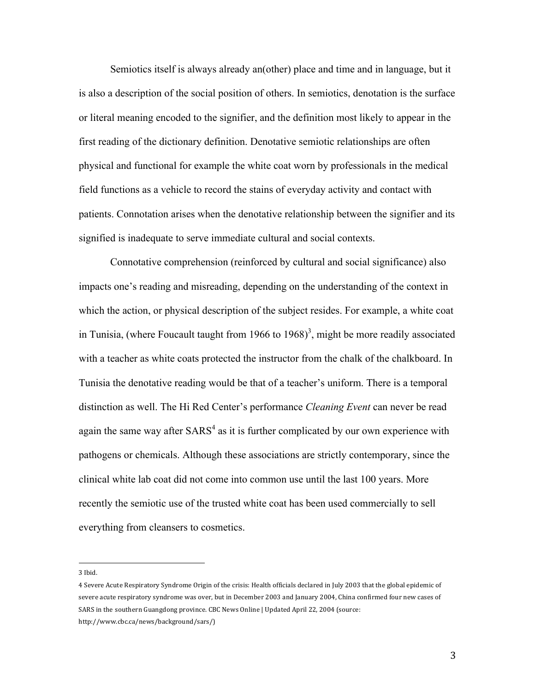Semiotics itself is always already an(other) place and time and in language, but it is also a description of the social position of others. In semiotics, denotation is the surface or literal meaning encoded to the signifier, and the definition most likely to appear in the first reading of the dictionary definition. Denotative semiotic relationships are often physical and functional for example the white coat worn by professionals in the medical field functions as a vehicle to record the stains of everyday activity and contact with patients. Connotation arises when the denotative relationship between the signifier and its signified is inadequate to serve immediate cultural and social contexts.

Connotative comprehension (reinforced by cultural and social significance) also impacts one's reading and misreading, depending on the understanding of the context in which the action, or physical description of the subject resides. For example, a white coat in Tunisia, (where Foucault taught from  $1966$  to  $1968$ )<sup>3</sup>, might be more readily associated with a teacher as white coats protected the instructor from the chalk of the chalkboard. In Tunisia the denotative reading would be that of a teacher's uniform. There is a temporal distinction as well. The Hi Red Center's performance *Cleaning Event* can never be read again the same way after  $SARS<sup>4</sup>$  as it is further complicated by our own experience with pathogens or chemicals. Although these associations are strictly contemporary, since the clinical white lab coat did not come into common use until the last 100 years. More recently the semiotic use of the trusted white coat has been used commercially to sell everything from cleansers to cosmetics.

3 Ibid.

<sup>4</sup> Severe Acute Respiratory Syndrome Origin of the crisis: Health officials declared in July 2003 that the global epidemic of severe acute respiratory syndrome was over, but in December 2003 and January 2004, China confirmed four new cases of SARS in the southern Guangdong province. CBC News Online | Updated April 22, 2004 (source: http://www.cbc.ca/news/background/sars/)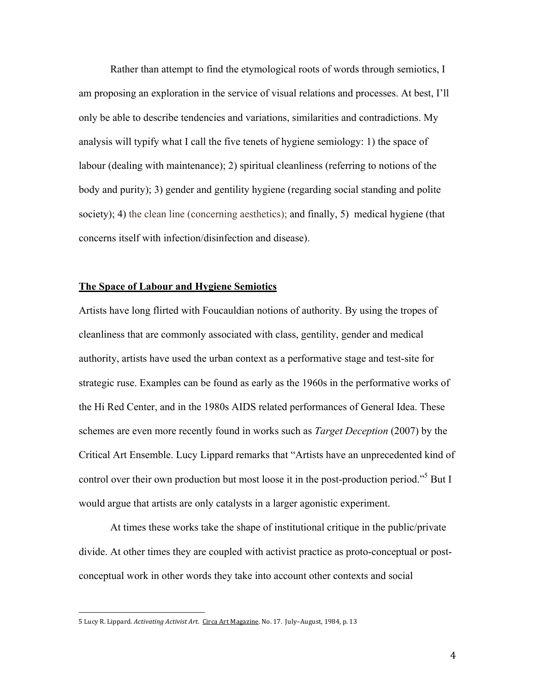Rather than attempt to find the etymological roots of words through semiotics, I am proposing an exploration in the service of visual relations and processes. At best, I'll only be able to describe tendencies and variations, similarities and contradictions. My analysis will typify what I call the five tenets of hygiene semiology: 1) the space of labour (dealing with maintenance); 2) spiritual cleanliness (referring to notions of the body and purity); 3) gender and gentility hygiene (regarding social standing and polite society); 4) the clean line (concerning aesthetics); and finally, 5) medical hygiene (that concerns itself with infection/disinfection and disease).

#### **The Space of Labour and Hygiene Semiotics**

Artists have long flirted with Foucauldian notions of authority. By using the tropes of cleanliness that are commonly associated with class, gentility, gender and medical authority, artists have used the urban context as a performative stage and test-site for strategic ruse. Examples can be found as early as the 1960s in the performative works of the Hi Red Center, and in the 1980s AIDS related performances of General Idea. These schemes are even more recently found in works such as *Target Deception* (2007) by the Critical Art Ensemble. Lucy Lippard remarks that "Artists have an unprecedented kind of control over their own production but most loose it in the post-production period."<sup>5</sup> But I would argue that artists are only catalysts in a larger agonistic experiment.

At times these works take the shape of institutional critique in the public/private divide. At other times they are coupled with activist practice as proto-conceptual or postconceptual work in other words they take into account other contexts and social

<sup>5</sup> Lucy R. Lippard. *Activating Activist Art.* Circa Art Magazine. No. 17. July–August, 1984, p. 13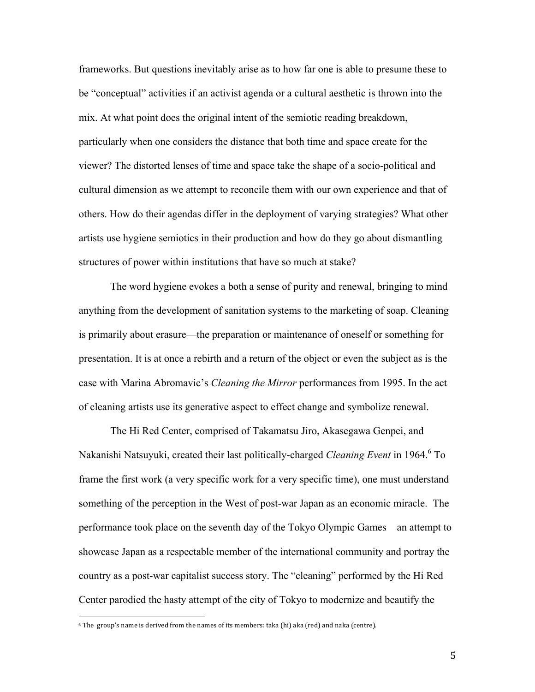frameworks. But questions inevitably arise as to how far one is able to presume these to be "conceptual" activities if an activist agenda or a cultural aesthetic is thrown into the mix. At what point does the original intent of the semiotic reading breakdown, particularly when one considers the distance that both time and space create for the viewer? The distorted lenses of time and space take the shape of a socio-political and cultural dimension as we attempt to reconcile them with our own experience and that of others. How do their agendas differ in the deployment of varying strategies? What other artists use hygiene semiotics in their production and how do they go about dismantling structures of power within institutions that have so much at stake?

The word hygiene evokes a both a sense of purity and renewal, bringing to mind anything from the development of sanitation systems to the marketing of soap. Cleaning is primarily about erasure—the preparation or maintenance of oneself or something for presentation. It is at once a rebirth and a return of the object or even the subject as is the case with Marina Abromavic's *Cleaning the Mirror* performances from 1995. In the act of cleaning artists use its generative aspect to effect change and symbolize renewal.

The Hi Red Center, comprised of Takamatsu Jiro, Akasegawa Genpei, and Nakanishi Natsuyuki, created their last politically-charged *Cleaning Event* in 1964.<sup>6</sup> To frame the first work (a very specific work for a very specific time), one must understand something of the perception in the West of post-war Japan as an economic miracle. The performance took place on the seventh day of the Tokyo Olympic Games—an attempt to showcase Japan as a respectable member of the international community and portray the country as a post-war capitalist success story. The "cleaning" performed by the Hi Red Center parodied the hasty attempt of the city of Tokyo to modernize and beautify the

 $6$  The group's name is derived from the names of its members: taka (hi) aka (red) and naka (centre).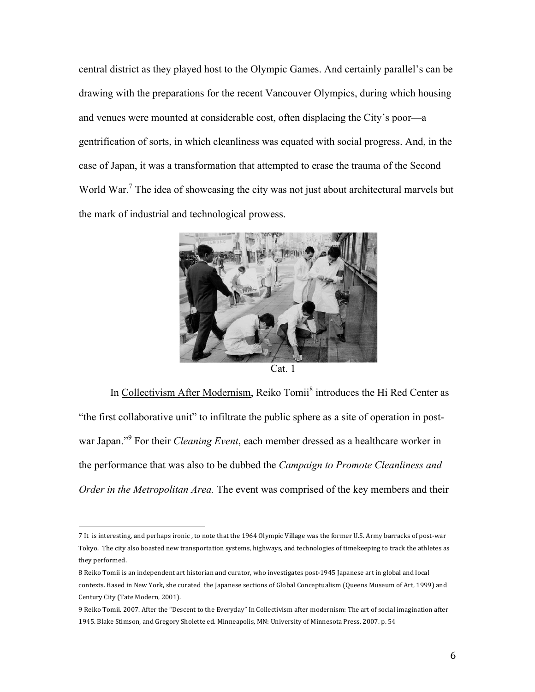central district as they played host to the Olympic Games. And certainly parallel's can be drawing with the preparations for the recent Vancouver Olympics, during which housing and venues were mounted at considerable cost, often displacing the City's poor—a gentrification of sorts, in which cleanliness was equated with social progress. And, in the case of Japan, it was a transformation that attempted to erase the trauma of the Second World War.<sup>7</sup> The idea of showcasing the city was not just about architectural marvels but the mark of industrial and technological prowess.



Cat. 1

In Collectivism After Modernism, Reiko Tomii<sup>8</sup> introduces the Hi Red Center as "the first collaborative unit" to infiltrate the public sphere as a site of operation in postwar Japan."<sup>9</sup> For their *Cleaning Event*, each member dressed as a healthcare worker in the performance that was also to be dubbed the *Campaign to Promote Cleanliness and Order in the Metropolitan Area.* The event was comprised of the key members and their

<sup>7</sup> It is interesting, and perhaps ironic, to note that the 1964 Olympic Village was the former U.S. Army barracks of post-war Tokyo. The city also boasted new transportation systems, highways, and technologies of timekeeping to track the athletes as they performed.

<sup>8</sup> Reiko Tomii is an independent art historian and curator, who investigates post-1945 Japanese art in global and local contexts. Based in New York, she curated the Japanese sections of Global Conceptualism (Queens Museum of Art, 1999) and Century City (Tate Modern, 2001).

<sup>9</sup> Reiko Tomii. 2007. After the "Descent to the Everyday" In Collectivism after modernism: The art of social imagination after 1945. Blake Stimson, and Gregory Sholette ed. Minneapolis, MN: University of Minnesota Press. 2007. p. 54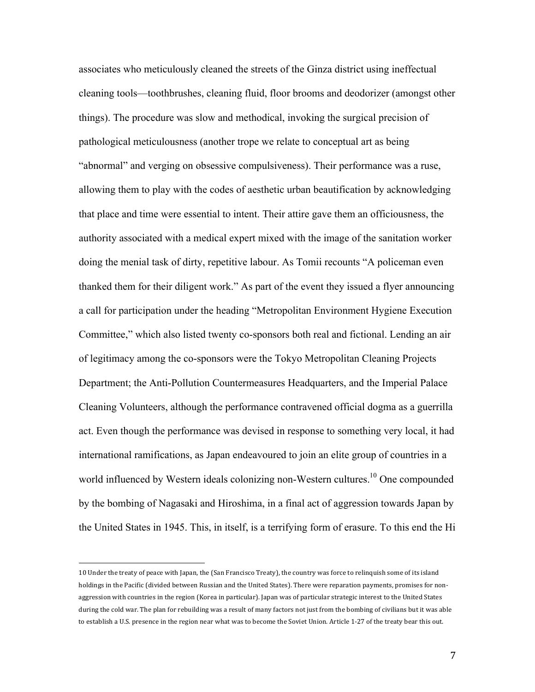associates who meticulously cleaned the streets of the Ginza district using ineffectual cleaning tools—toothbrushes, cleaning fluid, floor brooms and deodorizer (amongst other things). The procedure was slow and methodical, invoking the surgical precision of pathological meticulousness (another trope we relate to conceptual art as being "abnormal" and verging on obsessive compulsiveness). Their performance was a ruse, allowing them to play with the codes of aesthetic urban beautification by acknowledging that place and time were essential to intent. Their attire gave them an officiousness, the authority associated with a medical expert mixed with the image of the sanitation worker doing the menial task of dirty, repetitive labour. As Tomii recounts "A policeman even thanked them for their diligent work." As part of the event they issued a flyer announcing a call for participation under the heading "Metropolitan Environment Hygiene Execution Committee," which also listed twenty co-sponsors both real and fictional. Lending an air of legitimacy among the co-sponsors were the Tokyo Metropolitan Cleaning Projects Department; the Anti-Pollution Countermeasures Headquarters, and the Imperial Palace Cleaning Volunteers, although the performance contravened official dogma as a guerrilla act. Even though the performance was devised in response to something very local, it had international ramifications, as Japan endeavoured to join an elite group of countries in a world influenced by Western ideals colonizing non-Western cultures.<sup>10</sup> One compounded by the bombing of Nagasaki and Hiroshima, in a final act of aggression towards Japan by the United States in 1945. This, in itself, is a terrifying form of erasure. To this end the Hi

<sup>10</sup> Under the treaty of peace with Japan, the (San Francisco Treaty), the country was force to relinquish some of its island holdings in the Pacific (divided between Russian and the United States). There were reparation payments, promises for nonaggression with countries in the region (Korea in particular). Japan was of particular strategic interest to the United States during the cold war. The plan for rebuilding was a result of many factors not just from the bombing of civilians but it was able to establish a U.S. presence in the region near what was to become the Soviet Union. Article 1-27 of the treaty bear this out.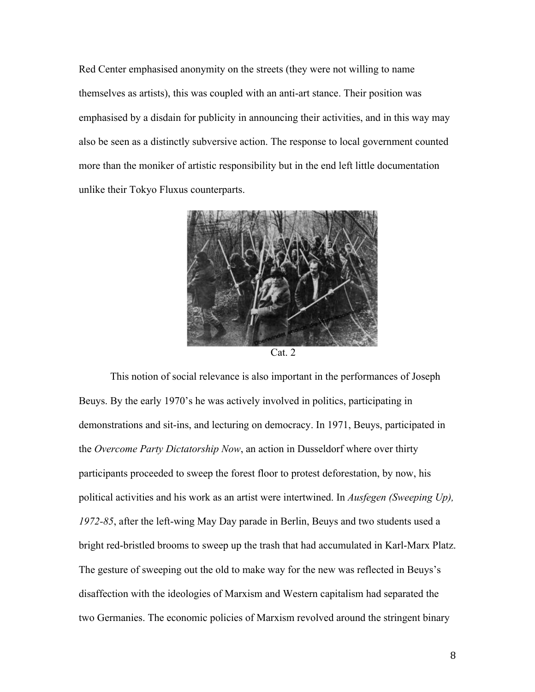Red Center emphasised anonymity on the streets (they were not willing to name themselves as artists), this was coupled with an anti-art stance. Their position was emphasised by a disdain for publicity in announcing their activities, and in this way may also be seen as a distinctly subversive action. The response to local government counted more than the moniker of artistic responsibility but in the end left little documentation unlike their Tokyo Fluxus counterparts.



This notion of social relevance is also important in the performances of Joseph Beuys. By the early 1970's he was actively involved in politics, participating in demonstrations and sit-ins, and lecturing on democracy. In 1971, Beuys, participated in the *Overcome Party Dictatorship Now*, an action in Dusseldorf where over thirty participants proceeded to sweep the forest floor to protest deforestation, by now, his political activities and his work as an artist were intertwined. In *Ausfegen (Sweeping Up), 1972-85*, after the left-wing May Day parade in Berlin, Beuys and two students used a bright red-bristled brooms to sweep up the trash that had accumulated in Karl-Marx Platz. The gesture of sweeping out the old to make way for the new was reflected in Beuys's disaffection with the ideologies of Marxism and Western capitalism had separated the two Germanies. The economic policies of Marxism revolved around the stringent binary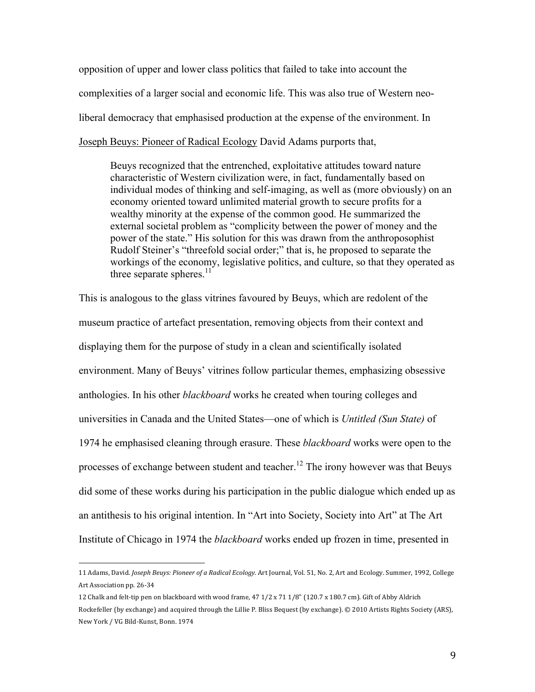opposition of upper and lower class politics that failed to take into account the complexities of a larger social and economic life. This was also true of Western neoliberal democracy that emphasised production at the expense of the environment. In Joseph Beuys: Pioneer of Radical Ecology David Adams purports that,

Beuys recognized that the entrenched, exploitative attitudes toward nature characteristic of Western civilization were, in fact, fundamentally based on individual modes of thinking and self-imaging, as well as (more obviously) on an economy oriented toward unlimited material growth to secure profits for a wealthy minority at the expense of the common good. He summarized the external societal problem as "complicity between the power of money and the power of the state." His solution for this was drawn from the anthroposophist Rudolf Steiner's "threefold social order;" that is, he proposed to separate the workings of the economy, legislative politics, and culture, so that they operated as three separate spheres. $11$ 

This is analogous to the glass vitrines favoured by Beuys, which are redolent of the museum practice of artefact presentation, removing objects from their context and displaying them for the purpose of study in a clean and scientifically isolated environment. Many of Beuys' vitrines follow particular themes, emphasizing obsessive anthologies. In his other *blackboard* works he created when touring colleges and universities in Canada and the United States—one of which is *Untitled (Sun State)* of 1974 he emphasised cleaning through erasure. These *blackboard* works were open to the processes of exchange between student and teacher.<sup>12</sup> The irony however was that Beuys did some of these works during his participation in the public dialogue which ended up as an antithesis to his original intention. In "Art into Society, Society into Art" at The Art Institute of Chicago in 1974 the *blackboard* works ended up frozen in time, presented in

<sup>11</sup> Adams, David. *Joseph Beuys: Pioneer of a Radical Ecology*. Art Journal, Vol. 51, No. 2, Art and Ecology. Summer, 1992, College Art Association pp. 26-34

<sup>12</sup> Chalk and felt-tip pen on blackboard with wood frame,  $47$   $1/2$  x  $71$   $1/8$ " (120.7 x 180.7 cm). Gift of Abby Aldrich Rockefeller (by exchange) and acquired through the Lillie P. Bliss Bequest (by exchange). © 2010 Artists Rights Society (ARS), New York / VG Bild-Kunst, Bonn. 1974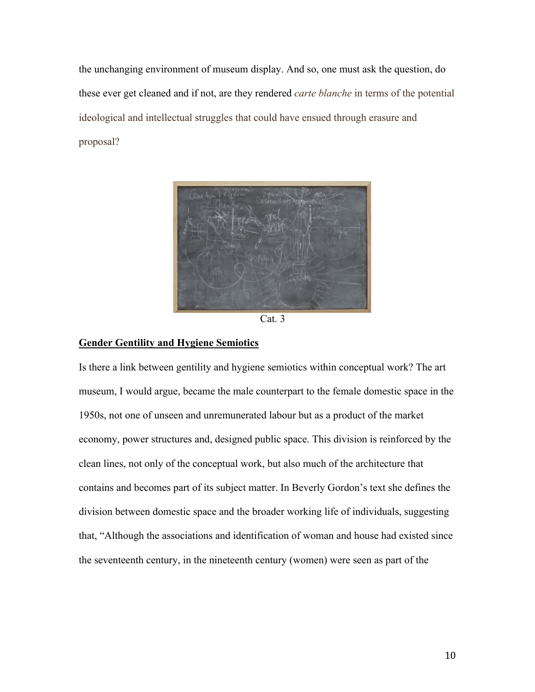the unchanging environment of museum display. And so, one must ask the question, do these ever get cleaned and if not, are they rendered *carte blanche* in terms of the potential ideological and intellectual struggles that could have ensued through erasure and proposal?



Cat. 3

### **Gender Gentility and Hygiene Semiotics**

Is there a link between gentility and hygiene semiotics within conceptual work? The art museum, I would argue, became the male counterpart to the female domestic space in the 1950s, not one of unseen and unremunerated labour but as a product of the market economy, power structures and, designed public space. This division is reinforced by the clean lines, not only of the conceptual work, but also much of the architecture that contains and becomes part of its subject matter. In Beverly Gordon's text she defines the division between domestic space and the broader working life of individuals, suggesting that, "Although the associations and identification of woman and house had existed since the seventeenth century, in the nineteenth century (women) were seen as part of the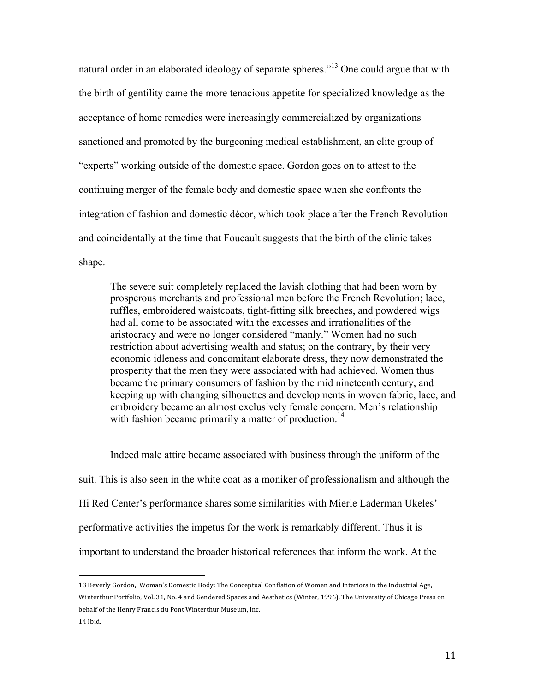natural order in an elaborated ideology of separate spheres.<sup>"13</sup> One could argue that with the birth of gentility came the more tenacious appetite for specialized knowledge as the acceptance of home remedies were increasingly commercialized by organizations sanctioned and promoted by the burgeoning medical establishment, an elite group of "experts" working outside of the domestic space. Gordon goes on to attest to the continuing merger of the female body and domestic space when she confronts the integration of fashion and domestic décor, which took place after the French Revolution and coincidentally at the time that Foucault suggests that the birth of the clinic takes shape.

The severe suit completely replaced the lavish clothing that had been worn by prosperous merchants and professional men before the French Revolution; lace, ruffles, embroidered waistcoats, tight-fitting silk breeches, and powdered wigs had all come to be associated with the excesses and irrationalities of the aristocracy and were no longer considered "manly." Women had no such restriction about advertising wealth and status; on the contrary, by their very economic idleness and concomitant elaborate dress, they now demonstrated the prosperity that the men they were associated with had achieved. Women thus became the primary consumers of fashion by the mid nineteenth century, and keeping up with changing silhouettes and developments in woven fabric, lace, and embroidery became an almost exclusively female concern. Men's relationship with fashion became primarily a matter of production.<sup>14</sup>

Indeed male attire became associated with business through the uniform of the suit. This is also seen in the white coat as a moniker of professionalism and although the Hi Red Center's performance shares some similarities with Mierle Laderman Ukeles' performative activities the impetus for the work is remarkably different. Thus it is important to understand the broader historical references that inform the work. At the

<sup>13</sup> Beverly Gordon, Woman's Domestic Body: The Conceptual Conflation of Women and Interiors in the Industrial Age, Winterthur Portfolio, Vol. 31, No. 4 and Gendered Spaces and Aesthetics (Winter, 1996). The University of Chicago Press on behalf of the Henry Francis du Pont Winterthur Museum, Inc. 14 Ibid.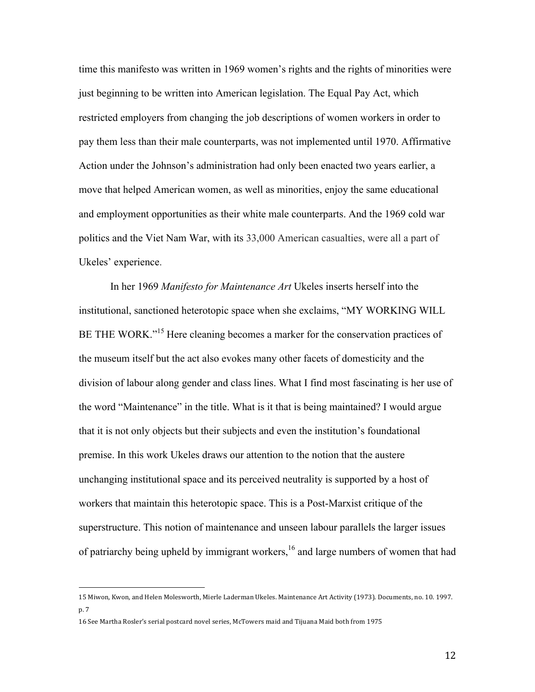time this manifesto was written in 1969 women's rights and the rights of minorities were just beginning to be written into American legislation. The Equal Pay Act, which restricted employers from changing the job descriptions of women workers in order to pay them less than their male counterparts, was not implemented until 1970. Affirmative Action under the Johnson's administration had only been enacted two years earlier, a move that helped American women, as well as minorities, enjoy the same educational and employment opportunities as their white male counterparts. And the 1969 cold war politics and the Viet Nam War, with its 33,000 American casualties, were all a part of Ukeles' experience.

In her 1969 *Manifesto for Maintenance Art* Ukeles inserts herself into the institutional, sanctioned heterotopic space when she exclaims, "MY WORKING WILL BE THE WORK."<sup>15</sup> Here cleaning becomes a marker for the conservation practices of the museum itself but the act also evokes many other facets of domesticity and the division of labour along gender and class lines. What I find most fascinating is her use of the word "Maintenance" in the title. What is it that is being maintained? I would argue that it is not only objects but their subjects and even the institution's foundational premise. In this work Ukeles draws our attention to the notion that the austere unchanging institutional space and its perceived neutrality is supported by a host of workers that maintain this heterotopic space. This is a Post-Marxist critique of the superstructure. This notion of maintenance and unseen labour parallels the larger issues of patriarchy being upheld by immigrant workers,<sup>16</sup> and large numbers of women that had

<sup>15</sup> Miwon, Kwon, and Helen Molesworth, Mierle Laderman Ukeles. Maintenance Art Activity (1973). Documents, no. 10. 1997. p. 7

<sup>16</sup> See Martha Rosler's serial postcard novel series, McTowers maid and Tijuana Maid both from 1975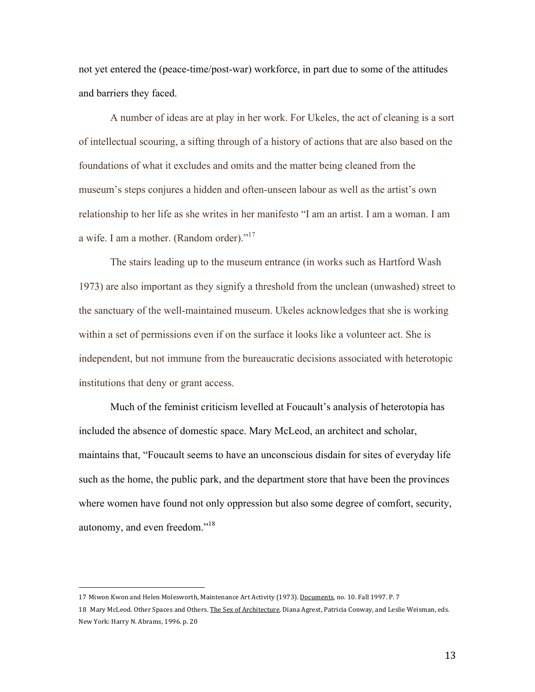not yet entered the (peace-time/post-war) workforce, in part due to some of the attitudes and barriers they faced.

A number of ideas are at play in her work. For Ukeles, the act of cleaning is a sort of intellectual scouring, a sifting through of a history of actions that are also based on the foundations of what it excludes and omits and the matter being cleaned from the museum's steps conjures a hidden and often-unseen labour as well as the artist's own relationship to her life as she writes in her manifesto "I am an artist. I am a woman. I am a wife. I am a mother. (Random order)."17

The stairs leading up to the museum entrance (in works such as Hartford Wash 1973) are also important as they signify a threshold from the unclean (unwashed) street to the sanctuary of the well-maintained museum. Ukeles acknowledges that she is working within a set of permissions even if on the surface it looks like a volunteer act. She is independent, but not immune from the bureaucratic decisions associated with heterotopic institutions that deny or grant access.

Much of the feminist criticism levelled at Foucault's analysis of heterotopia has included the absence of domestic space. Mary McLeod, an architect and scholar, maintains that, "Foucault seems to have an unconscious disdain for sites of everyday life such as the home, the public park, and the department store that have been the provinces where women have found not only oppression but also some degree of comfort, security, autonomy, and even freedom."<sup>18</sup>

<sup>17</sup> Miwon Kwon and Helen Molesworth, Maintenance Art Activity (1973). Documents, no. 10. Fall 1997. P. 7

<sup>18</sup> Mary McLeod. Other Spaces and Others. The Sex of Architecture. Diana Agrest, Patricia Conway, and Leslie Weisman, eds. New York: Harry N. Abrams, 1996. p. 20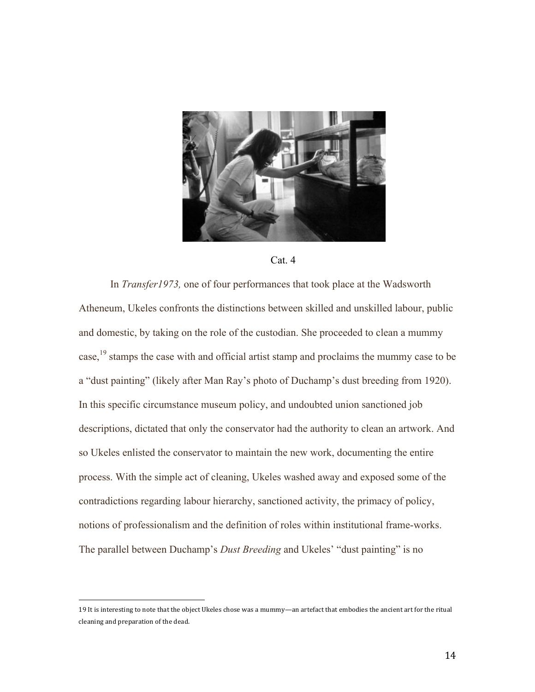



In *Transfer1973,* one of four performances that took place at the Wadsworth Atheneum, Ukeles confronts the distinctions between skilled and unskilled labour, public and domestic, by taking on the role of the custodian. She proceeded to clean a mummy case,<sup>19</sup> stamps the case with and official artist stamp and proclaims the mummy case to be a "dust painting" (likely after Man Ray's photo of Duchamp's dust breeding from 1920). In this specific circumstance museum policy, and undoubted union sanctioned job descriptions, dictated that only the conservator had the authority to clean an artwork. And so Ukeles enlisted the conservator to maintain the new work, documenting the entire process. With the simple act of cleaning, Ukeles washed away and exposed some of the contradictions regarding labour hierarchy, sanctioned activity, the primacy of policy, notions of professionalism and the definition of roles within institutional frame-works. The parallel between Duchamp's *Dust Breeding* and Ukeles' "dust painting" is no

<sup>19</sup> It is interesting to note that the object Ukeles chose was a mummy—an artefact that embodies the ancient art for the ritual cleaning and preparation of the dead.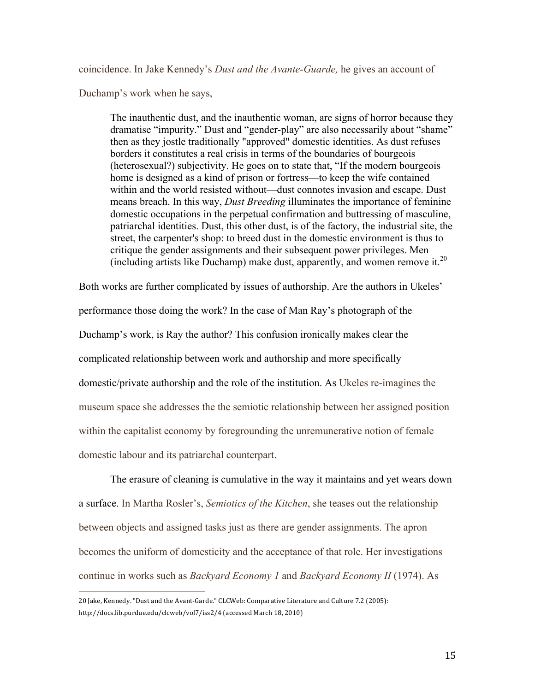coincidence. In Jake Kennedy's *Dust and the Avante-Guarde,* he gives an account of

Duchamp's work when he says,

The inauthentic dust, and the inauthentic woman, are signs of horror because they dramatise "impurity." Dust and "gender-play" are also necessarily about "shame" then as they jostle traditionally "approved" domestic identities. As dust refuses borders it constitutes a real crisis in terms of the boundaries of bourgeois (heterosexual?) subjectivity. He goes on to state that, "If the modern bourgeois home is designed as a kind of prison or fortress—to keep the wife contained within and the world resisted without—dust connotes invasion and escape. Dust means breach. In this way, *Dust Breeding* illuminates the importance of feminine domestic occupations in the perpetual confirmation and buttressing of masculine, patriarchal identities. Dust, this other dust, is of the factory, the industrial site, the street, the carpenter's shop: to breed dust in the domestic environment is thus to critique the gender assignments and their subsequent power privileges. Men (including artists like Duchamp) make dust, apparently, and women remove it.<sup>20</sup>

Both works are further complicated by issues of authorship. Are the authors in Ukeles' performance those doing the work? In the case of Man Ray's photograph of the Duchamp's work, is Ray the author? This confusion ironically makes clear the complicated relationship between work and authorship and more specifically domestic/private authorship and the role of the institution. As Ukeles re-imagines the museum space she addresses the the semiotic relationship between her assigned position within the capitalist economy by foregrounding the unremunerative notion of female domestic labour and its patriarchal counterpart.

The erasure of cleaning is cumulative in the way it maintains and yet wears down a surface. In Martha Rosler's, *Semiotics of the Kitchen*, she teases out the relationship between objects and assigned tasks just as there are gender assignments. The apron becomes the uniform of domesticity and the acceptance of that role. Her investigations continue in works such as *Backyard Economy 1* and *Backyard Economy II* (1974). As

<sup>20</sup> Jake, Kennedy. "Dust and the Avant-Garde." CLCWeb: Comparative Literature and Culture 7.2 (2005): http://docs.lib.purdue.edu/clcweb/vol7/iss2/4 (accessed March 18, 2010)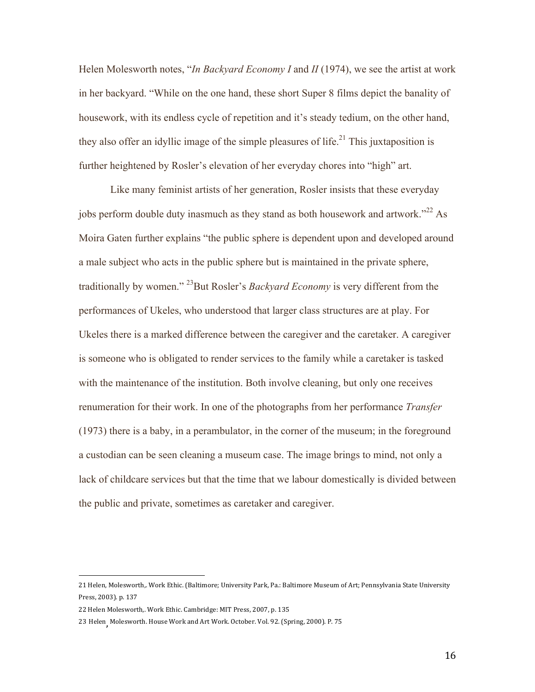Helen Molesworth notes, "*In Backyard Economy I* and *II* (1974), we see the artist at work in her backyard. "While on the one hand, these short Super 8 films depict the banality of housework, with its endless cycle of repetition and it's steady tedium, on the other hand, they also offer an idyllic image of the simple pleasures of life.<sup>21</sup> This juxtaposition is further heightened by Rosler's elevation of her everyday chores into "high" art.

Like many feminist artists of her generation, Rosler insists that these everyday jobs perform double duty inasmuch as they stand as both housework and artwork."<sup>22</sup> As Moira Gaten further explains "the public sphere is dependent upon and developed around a male subject who acts in the public sphere but is maintained in the private sphere, traditionally by women."<sup>23</sup>But Rosler's *Backyard Economy* is very different from the performances of Ukeles, who understood that larger class structures are at play. For Ukeles there is a marked difference between the caregiver and the caretaker. A caregiver is someone who is obligated to render services to the family while a caretaker is tasked with the maintenance of the institution. Both involve cleaning, but only one receives renumeration for their work. In one of the photographs from her performance *Transfer* (1973) there is a baby, in a perambulator, in the corner of the museum; in the foreground a custodian can be seen cleaning a museum case. The image brings to mind, not only a lack of childcare services but that the time that we labour domestically is divided between the public and private, sometimes as caretaker and caregiver.

<sup>21</sup> Helen, Molesworth,. Work Ethic. (Baltimore; University Park, Pa.: Baltimore Museum of Art; Pennsylvania State University Press, 2003). p. 137

<sup>22</sup> Helen Molesworth,. Work Ethic. Cambridge: MIT Press, 2007, p. 135

<sup>23</sup> Helen Molesworth. House Work and Art Work. October. Vol. 92. (Spring, 2000). P. 75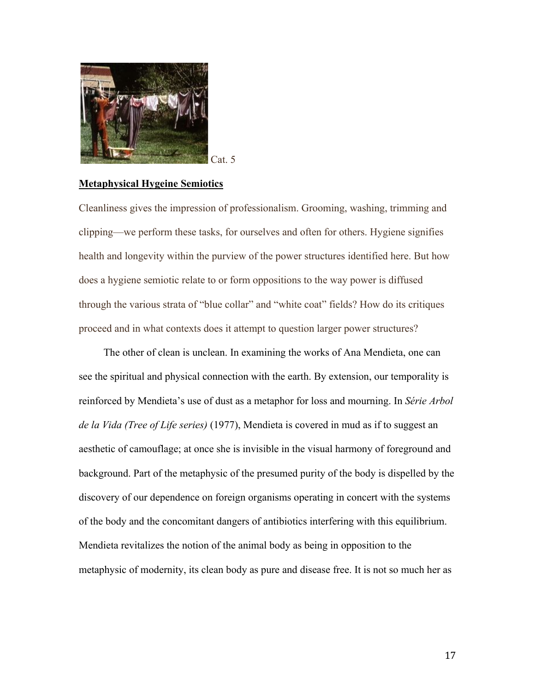

# **Metaphysical Hygeine Semiotics**

Cleanliness gives the impression of professionalism. Grooming, washing, trimming and clipping—we perform these tasks, for ourselves and often for others. Hygiene signifies health and longevity within the purview of the power structures identified here. But how does a hygiene semiotic relate to or form oppositions to the way power is diffused through the various strata of "blue collar" and "white coat" fields? How do its critiques proceed and in what contexts does it attempt to question larger power structures?

The other of clean is unclean. In examining the works of Ana Mendieta, one can see the spiritual and physical connection with the earth. By extension, our temporality is reinforced by Mendieta's use of dust as a metaphor for loss and mourning. In *Série Arbol de la Vida (Tree of Life series)* (1977), Mendieta is covered in mud as if to suggest an aesthetic of camouflage; at once she is invisible in the visual harmony of foreground and background. Part of the metaphysic of the presumed purity of the body is dispelled by the discovery of our dependence on foreign organisms operating in concert with the systems of the body and the concomitant dangers of antibiotics interfering with this equilibrium. Mendieta revitalizes the notion of the animal body as being in opposition to the metaphysic of modernity, its clean body as pure and disease free. It is not so much her as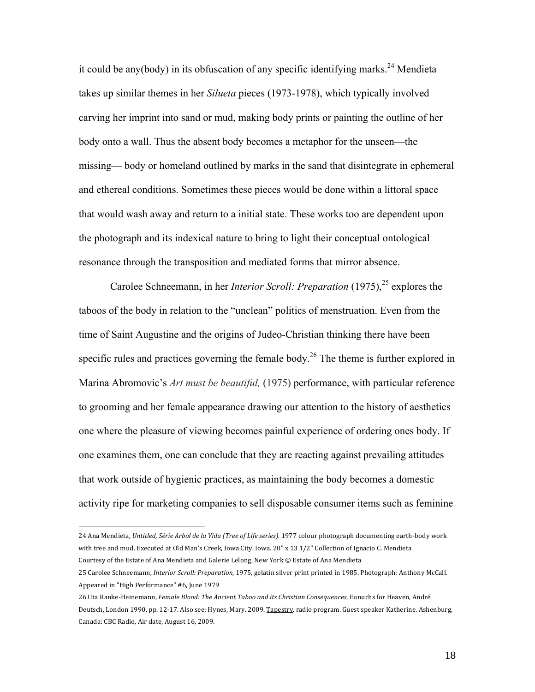it could be any(body) in its obfuscation of any specific identifying marks.<sup>24</sup> Mendieta takes up similar themes in her *Silueta* pieces (1973-1978), which typically involved carving her imprint into sand or mud, making body prints or painting the outline of her body onto a wall. Thus the absent body becomes a metaphor for the unseen—the missing— body or homeland outlined by marks in the sand that disintegrate in ephemeral and ethereal conditions. Sometimes these pieces would be done within a littoral space that would wash away and return to a initial state. These works too are dependent upon the photograph and its indexical nature to bring to light their conceptual ontological resonance through the transposition and mediated forms that mirror absence.

Carolee Schneemann, in her *Interior Scroll: Preparation* (1975),<sup>25</sup> explores the taboos of the body in relation to the "unclean" politics of menstruation. Even from the time of Saint Augustine and the origins of Judeo-Christian thinking there have been specific rules and practices governing the female body.<sup>26</sup> The theme is further explored in Marina Abromovic's *Art must be beautiful,* (1975) performance, with particular reference to grooming and her female appearance drawing our attention to the history of aesthetics one where the pleasure of viewing becomes painful experience of ordering ones body. If one examines them, one can conclude that they are reacting against prevailing attitudes that work outside of hygienic practices, as maintaining the body becomes a domestic activity ripe for marketing companies to sell disposable consumer items such as feminine

<sup>24</sup> Ana Mendieta, Untitled, Série Arbol de la Vida (Tree of Life series). 1977 colour photograph documenting earth-body work with tree and mud. Executed at Old Man's Creek, Iowa City, Iowa. 20" x 13 1/2" Collection of Ignacio C. Mendieta Courtesy of the Estate of Ana Mendieta and Galerie Lelong, New York © Estate of Ana Mendieta

<sup>25</sup> Carolee Schneemann, *Interior Scroll: Preparation*, 1975, gelatin silver print printed in 1985. Photograph: Anthony McCall. Appeared in "High Performance" #6, June 1979

<sup>26</sup> Uta Ranke-Heinemann, *Female Blood: The Ancient Taboo and its Christian Consequences*, Eunuchs for Heaven, André Deutsch, London 1990, pp. 12-17. Also see: Hynes, Mary. 2009. Tapestry. radio program. Guest speaker Katherine. Ashenburg, Canada: CBC Radio, Air date, August 16, 2009.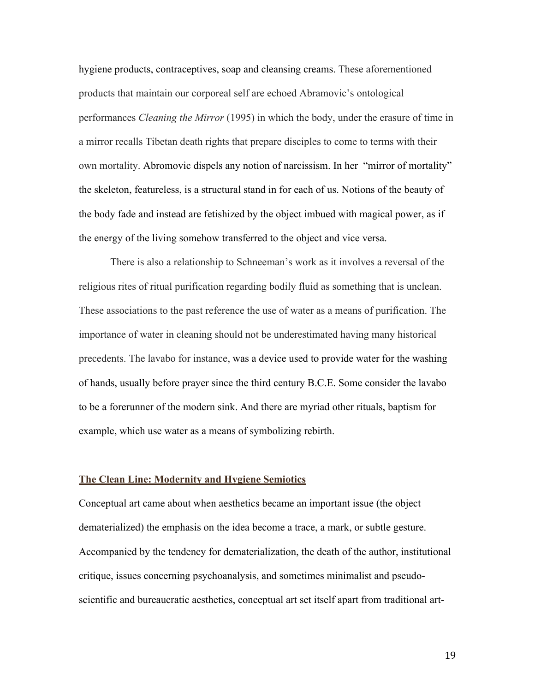hygiene products, contraceptives, soap and cleansing creams. These aforementioned products that maintain our corporeal self are echoed Abramovic's ontological performances *Cleaning the Mirror* (1995) in which the body, under the erasure of time in a mirror recalls Tibetan death rights that prepare disciples to come to terms with their own mortality. Abromovic dispels any notion of narcissism. In her "mirror of mortality" the skeleton, featureless, is a structural stand in for each of us. Notions of the beauty of the body fade and instead are fetishized by the object imbued with magical power, as if the energy of the living somehow transferred to the object and vice versa.

There is also a relationship to Schneeman's work as it involves a reversal of the religious rites of ritual purification regarding bodily fluid as something that is unclean. These associations to the past reference the use of water as a means of purification. The importance of water in cleaning should not be underestimated having many historical precedents. The lavabo for instance, was a device used to provide water for the washing of hands, usually before prayer since the third century B.C.E. Some consider the lavabo to be a forerunner of the modern sink. And there are myriad other rituals, baptism for example, which use water as a means of symbolizing rebirth.

### **The Clean Line: Modernity and Hygiene Semiotics**

Conceptual art came about when aesthetics became an important issue (the object dematerialized) the emphasis on the idea become a trace, a mark, or subtle gesture. Accompanied by the tendency for dematerialization, the death of the author, institutional critique, issues concerning psychoanalysis, and sometimes minimalist and pseudoscientific and bureaucratic aesthetics, conceptual art set itself apart from traditional art-

19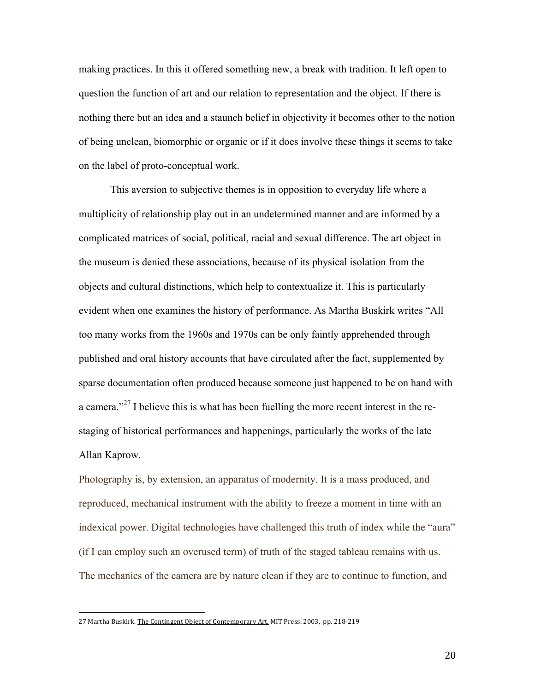making practices. In this it offered something new, a break with tradition. It left open to question the function of art and our relation to representation and the object. If there is nothing there but an idea and a staunch belief in objectivity it becomes other to the notion of being unclean, biomorphic or organic or if it does involve these things it seems to take on the label of proto-conceptual work.

This aversion to subjective themes is in opposition to everyday life where a multiplicity of relationship play out in an undetermined manner and are informed by a complicated matrices of social, political, racial and sexual difference. The art object in the museum is denied these associations, because of its physical isolation from the objects and cultural distinctions, which help to contextualize it. This is particularly evident when one examines the history of performance. As Martha Buskirk writes "All too many works from the 1960s and 1970s can be only faintly apprehended through published and oral history accounts that have circulated after the fact, supplemented by sparse documentation often produced because someone just happened to be on hand with a camera."<sup>27</sup> I believe this is what has been fuelling the more recent interest in the restaging of historical performances and happenings, particularly the works of the late Allan Kaprow.

Photography is, by extension, an apparatus of modernity. It is a mass produced, and reproduced, mechanical instrument with the ability to freeze a moment in time with an indexical power. Digital technologies have challenged this truth of index while the "aura" (if I can employ such an overused term) of truth of the staged tableau remains with us. The mechanics of the camera are by nature clean if they are to continue to function, and

<sup>27</sup> Martha Buskirk. The Contingent Object of Contemporary Art. MIT Press. 2003, pp. 218-219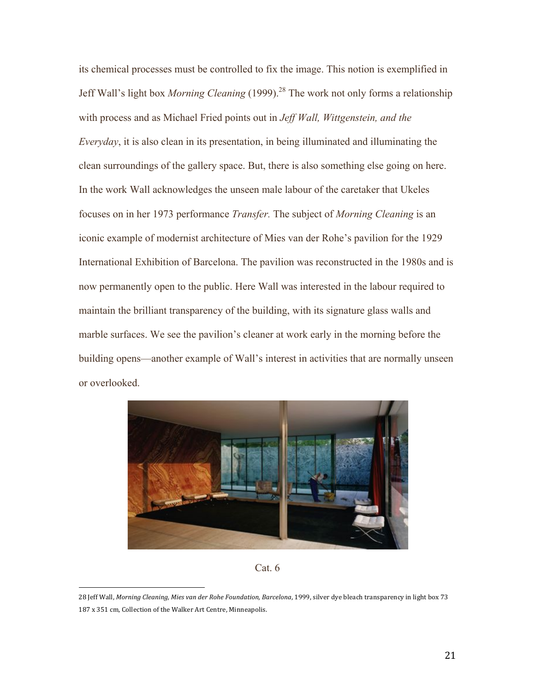its chemical processes must be controlled to fix the image. This notion is exemplified in Jeff Wall's light box *Morning Cleaning* (1999).<sup>28</sup> The work not only forms a relationship with process and as Michael Fried points out in *Jeff Wall, Wittgenstein, and the Everyday*, it is also clean in its presentation, in being illuminated and illuminating the clean surroundings of the gallery space. But, there is also something else going on here. In the work Wall acknowledges the unseen male labour of the caretaker that Ukeles focuses on in her 1973 performance *Transfer.* The subject of *Morning Cleaning* is an iconic example of modernist architecture of Mies van der Rohe's pavilion for the 1929 International Exhibition of Barcelona. The pavilion was reconstructed in the 1980s and is now permanently open to the public. Here Wall was interested in the labour required to maintain the brilliant transparency of the building, with its signature glass walls and marble surfaces. We see the pavilion's cleaner at work early in the morning before the building opens—another example of Wall's interest in activities that are normally unseen or overlooked.





<sup>28</sup> Jeff Wall, *Morning Cleaning, Mies van der Rohe Foundation, Barcelona*, 1999, silver dye bleach transparency in light box 73 187 x 351 cm, Collection of the Walker Art Centre, Minneapolis.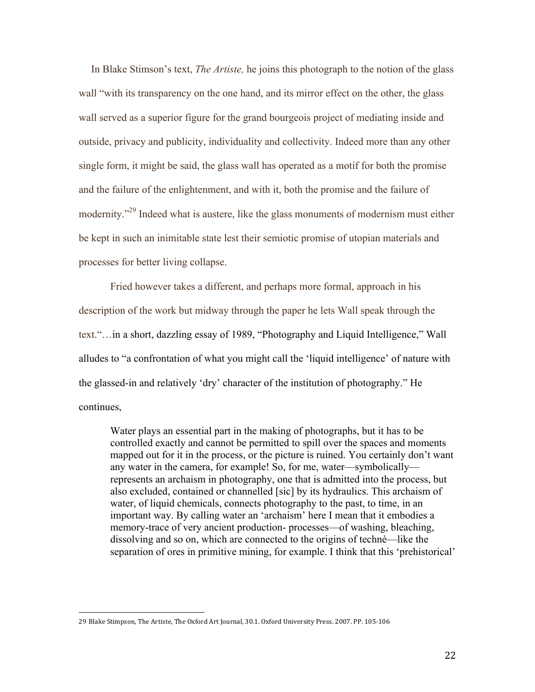In Blake Stimson's text, *The Artiste,* he joins this photograph to the notion of the glass wall "with its transparency on the one hand, and its mirror effect on the other, the glass wall served as a superior figure for the grand bourgeois project of mediating inside and outside, privacy and publicity, individuality and collectivity. Indeed more than any other single form, it might be said, the glass wall has operated as a motif for both the promise and the failure of the enlightenment, and with it, both the promise and the failure of modernity."29 Indeed what is austere, like the glass monuments of modernism must either be kept in such an inimitable state lest their semiotic promise of utopian materials and processes for better living collapse.

Fried however takes a different, and perhaps more formal, approach in his description of the work but midway through the paper he lets Wall speak through the text."…in a short, dazzling essay of 1989, "Photography and Liquid Intelligence," Wall alludes to "a confrontation of what you might call the 'liquid intelligence' of nature with the glassed-in and relatively 'dry' character of the institution of photography." He continues,

Water plays an essential part in the making of photographs, but it has to be controlled exactly and cannot be permitted to spill over the spaces and moments mapped out for it in the process, or the picture is ruined. You certainly don't want any water in the camera, for example! So, for me, water—symbolically represents an archaism in photography, one that is admitted into the process, but also excluded, contained or channelled [sic] by its hydraulics. This archaism of water, of liquid chemicals, connects photography to the past, to time, in an important way. By calling water an 'archaism' here I mean that it embodies a memory-trace of very ancient production- processes—of washing, bleaching, dissolving and so on, which are connected to the origins of technè—like the separation of ores in primitive mining, for example. I think that this 'prehistorical'

<sup>29</sup> Blake Stimpson, The Artiste, The Oxford Art Journal, 30.1. Oxford University Press. 2007. PP. 105-106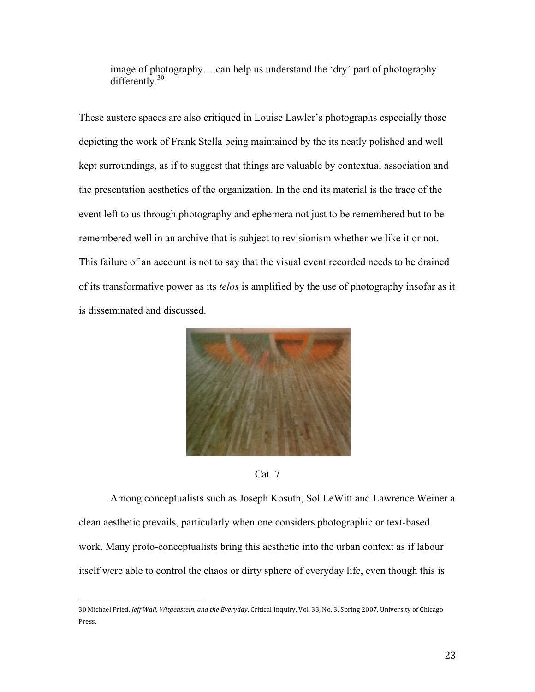image of photography….can help us understand the 'dry' part of photography differently.<sup>30</sup>

These austere spaces are also critiqued in Louise Lawler's photographs especially those depicting the work of Frank Stella being maintained by the its neatly polished and well kept surroundings, as if to suggest that things are valuable by contextual association and the presentation aesthetics of the organization. In the end its material is the trace of the event left to us through photography and ephemera not just to be remembered but to be remembered well in an archive that is subject to revisionism whether we like it or not. This failure of an account is not to say that the visual event recorded needs to be drained of its transformative power as its *telos* is amplified by the use of photography insofar as it is disseminated and discussed.





Among conceptualists such as Joseph Kosuth, Sol LeWitt and Lawrence Weiner a clean aesthetic prevails, particularly when one considers photographic or text-based work. Many proto-conceptualists bring this aesthetic into the urban context as if labour itself were able to control the chaos or dirty sphere of everyday life, even though this is

<sup>30</sup> Michael Fried. *Jeff Wall, Witgenstein, and the Everyday*. Critical Inquiry. Vol. 33, No. 3. Spring 2007. University of Chicago Press.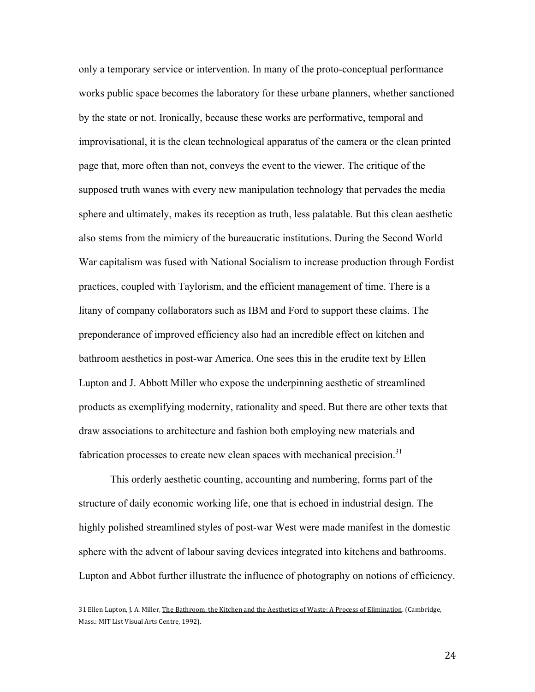only a temporary service or intervention. In many of the proto-conceptual performance works public space becomes the laboratory for these urbane planners, whether sanctioned by the state or not. Ironically, because these works are performative, temporal and improvisational, it is the clean technological apparatus of the camera or the clean printed page that, more often than not, conveys the event to the viewer. The critique of the supposed truth wanes with every new manipulation technology that pervades the media sphere and ultimately, makes its reception as truth, less palatable. But this clean aesthetic also stems from the mimicry of the bureaucratic institutions. During the Second World War capitalism was fused with National Socialism to increase production through Fordist practices, coupled with Taylorism, and the efficient management of time. There is a litany of company collaborators such as IBM and Ford to support these claims. The preponderance of improved efficiency also had an incredible effect on kitchen and bathroom aesthetics in post-war America. One sees this in the erudite text by Ellen Lupton and J. Abbott Miller who expose the underpinning aesthetic of streamlined products as exemplifying modernity, rationality and speed. But there are other texts that draw associations to architecture and fashion both employing new materials and fabrication processes to create new clean spaces with mechanical precision.<sup>31</sup>

This orderly aesthetic counting, accounting and numbering, forms part of the structure of daily economic working life, one that is echoed in industrial design. The highly polished streamlined styles of post-war West were made manifest in the domestic sphere with the advent of labour saving devices integrated into kitchens and bathrooms. Lupton and Abbot further illustrate the influence of photography on notions of efficiency.

<sup>31</sup> Ellen Lupton, J. A. Miller, The Bathroom, the Kitchen and the Aesthetics of Waste: A Process of Elimination. (Cambridge, Mass.: MIT List Visual Arts Centre, 1992).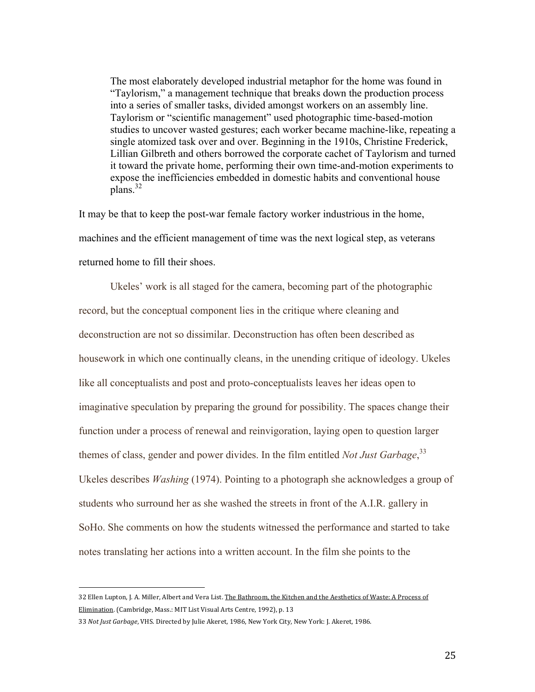The most elaborately developed industrial metaphor for the home was found in "Taylorism," a management technique that breaks down the production process into a series of smaller tasks, divided amongst workers on an assembly line. Taylorism or "scientific management" used photographic time-based-motion studies to uncover wasted gestures; each worker became machine-like, repeating a single atomized task over and over. Beginning in the 1910s, Christine Frederick, Lillian Gilbreth and others borrowed the corporate cachet of Taylorism and turned it toward the private home, performing their own time-and-motion experiments to expose the inefficiencies embedded in domestic habits and conventional house  $plans.<sup>32</sup>$ 

It may be that to keep the post-war female factory worker industrious in the home, machines and the efficient management of time was the next logical step, as veterans returned home to fill their shoes.

Ukeles' work is all staged for the camera, becoming part of the photographic record, but the conceptual component lies in the critique where cleaning and deconstruction are not so dissimilar. Deconstruction has often been described as housework in which one continually cleans, in the unending critique of ideology. Ukeles like all conceptualists and post and proto-conceptualists leaves her ideas open to imaginative speculation by preparing the ground for possibility. The spaces change their function under a process of renewal and reinvigoration, laying open to question larger themes of class, gender and power divides. In the film entitled *Not Just Garbage*, 33 Ukeles describes *Washing* (1974). Pointing to a photograph she acknowledges a group of students who surround her as she washed the streets in front of the A.I.R. gallery in SoHo. She comments on how the students witnessed the performance and started to take notes translating her actions into a written account. In the film she points to the

<sup>32</sup> Ellen Lupton, J. A. Miller, Albert and Vera List. The Bathroom, the Kitchen and the Aesthetics of Waste: A Process of Elimination. (Cambridge, Mass.: MIT List Visual Arts Centre, 1992), p. 13

<sup>33</sup> *Not Just Garbage*, VHS. Directed by Julie Akeret, 1986, New York City, New York: J. Akeret, 1986.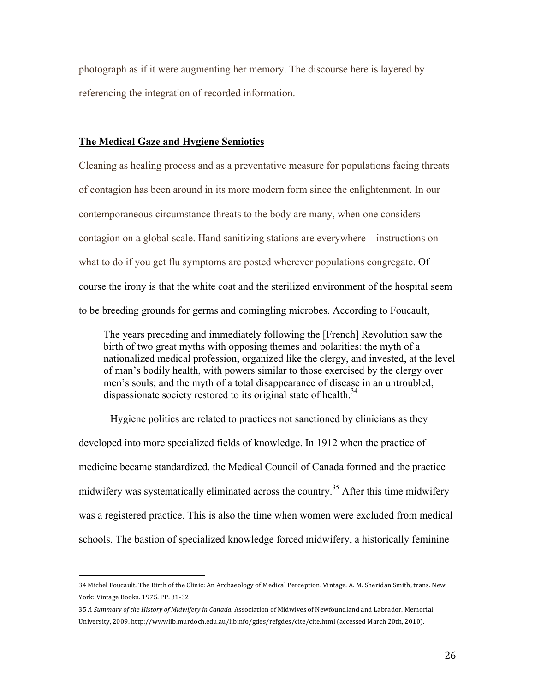photograph as if it were augmenting her memory. The discourse here is layered by referencing the integration of recorded information.

#### **The Medical Gaze and Hygiene Semiotics**

!!!!!!!!!!!!!!!!!!!!!!!!!!!!!!!!!!!!!!!!!!!!!!!!!!!!!!!

Cleaning as healing process and as a preventative measure for populations facing threats of contagion has been around in its more modern form since the enlightenment. In our contemporaneous circumstance threats to the body are many, when one considers contagion on a global scale. Hand sanitizing stations are everywhere—instructions on what to do if you get flu symptoms are posted wherever populations congregate. Of course the irony is that the white coat and the sterilized environment of the hospital seem to be breeding grounds for germs and comingling microbes. According to Foucault,

The years preceding and immediately following the [French] Revolution saw the birth of two great myths with opposing themes and polarities: the myth of a nationalized medical profession, organized like the clergy, and invested, at the level of man's bodily health, with powers similar to those exercised by the clergy over men's souls; and the myth of a total disappearance of disease in an untroubled, dispassionate society restored to its original state of health. $34$ 

Hygiene politics are related to practices not sanctioned by clinicians as they developed into more specialized fields of knowledge. In 1912 when the practice of medicine became standardized, the Medical Council of Canada formed and the practice midwifery was systematically eliminated across the country.<sup>35</sup> After this time midwifery was a registered practice. This is also the time when women were excluded from medical schools. The bastion of specialized knowledge forced midwifery, a historically feminine

<sup>34</sup> Michel Foucault. The Birth of the Clinic: An Archaeology of Medical Perception. Vintage. A. M. Sheridan Smith, trans. New York: Vintage Books. 1975. PP. 31-32

<sup>35</sup> A Summary of the History of Midwifery in Canada. Association of Midwives of Newfoundland and Labrador. Memorial University, 2009. http://wwwlib.murdoch.edu.au/libinfo/gdes/refgdes/cite/cite.html (accessed March 20th, 2010).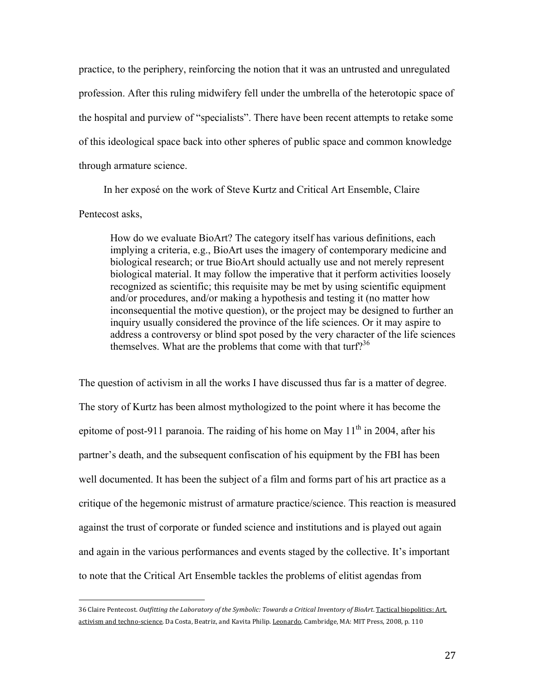practice, to the periphery, reinforcing the notion that it was an untrusted and unregulated profession. After this ruling midwifery fell under the umbrella of the heterotopic space of the hospital and purview of "specialists". There have been recent attempts to retake some of this ideological space back into other spheres of public space and common knowledge through armature science.

In her exposé on the work of Steve Kurtz and Critical Art Ensemble, Claire

# Pentecost asks,

!!!!!!!!!!!!!!!!!!!!!!!!!!!!!!!!!!!!!!!!!!!!!!!!!!!!!!!

How do we evaluate BioArt? The category itself has various definitions, each implying a criteria, e.g., BioArt uses the imagery of contemporary medicine and biological research; or true BioArt should actually use and not merely represent biological material. It may follow the imperative that it perform activities loosely recognized as scientific; this requisite may be met by using scientific equipment and/or procedures, and/or making a hypothesis and testing it (no matter how inconsequential the motive question), or the project may be designed to further an inquiry usually considered the province of the life sciences. Or it may aspire to address a controversy or blind spot posed by the very character of the life sciences themselves. What are the problems that come with that  $\text{tur} \mathfrak{f}^{36}$ 

The question of activism in all the works I have discussed thus far is a matter of degree. The story of Kurtz has been almost mythologized to the point where it has become the epitome of post-911 paranoia. The raiding of his home on May  $11<sup>th</sup>$  in 2004, after his partner's death, and the subsequent confiscation of his equipment by the FBI has been well documented. It has been the subject of a film and forms part of his art practice as a critique of the hegemonic mistrust of armature practice/science. This reaction is measured against the trust of corporate or funded science and institutions and is played out again and again in the various performances and events staged by the collective. It's important to note that the Critical Art Ensemble tackles the problems of elitist agendas from

<sup>36</sup> Claire Pentecost. Outfitting the Laboratory of the Symbolic: Towards a Critical Inventory of BioArt. Tactical biopolitics: Art, activism and techno-science. Da Costa, Beatriz, and Kavita Philip. Leonardo. Cambridge, MA: MIT Press, 2008, p. 110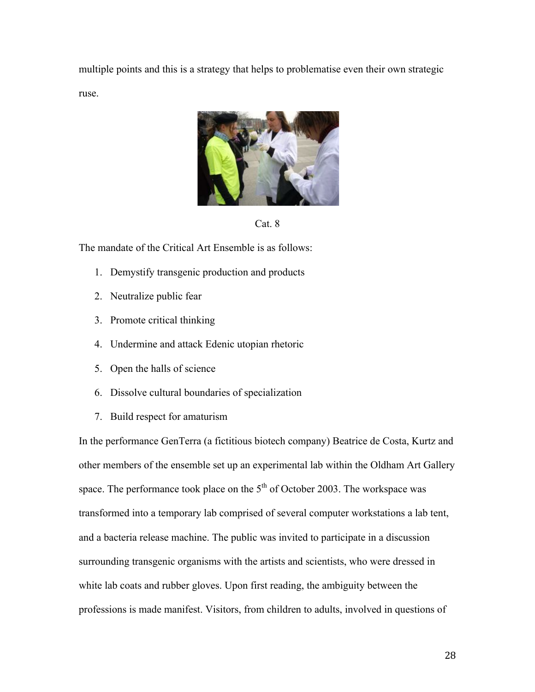multiple points and this is a strategy that helps to problematise even their own strategic ruse.





The mandate of the Critical Art Ensemble is as follows:

- 1. Demystify transgenic production and products
- 2. Neutralize public fear
- 3. Promote critical thinking
- 4. Undermine and attack Edenic utopian rhetoric
- 5. Open the halls of science
- 6. Dissolve cultural boundaries of specialization
- 7. Build respect for amaturism

In the performance GenTerra (a fictitious biotech company) Beatrice de Costa, Kurtz and other members of the ensemble set up an experimental lab within the Oldham Art Gallery space. The performance took place on the  $5<sup>th</sup>$  of October 2003. The workspace was transformed into a temporary lab comprised of several computer workstations a lab tent, and a bacteria release machine. The public was invited to participate in a discussion surrounding transgenic organisms with the artists and scientists, who were dressed in white lab coats and rubber gloves. Upon first reading, the ambiguity between the professions is made manifest. Visitors, from children to adults, involved in questions of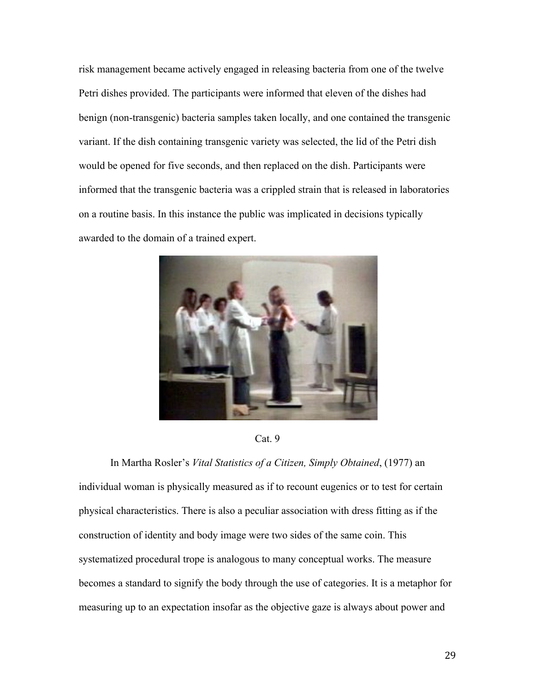risk management became actively engaged in releasing bacteria from one of the twelve Petri dishes provided. The participants were informed that eleven of the dishes had benign (non-transgenic) bacteria samples taken locally, and one contained the transgenic variant. If the dish containing transgenic variety was selected, the lid of the Petri dish would be opened for five seconds, and then replaced on the dish. Participants were informed that the transgenic bacteria was a crippled strain that is released in laboratories on a routine basis. In this instance the public was implicated in decisions typically awarded to the domain of a trained expert.



Cat. 9

In Martha Rosler's *Vital Statistics of a Citizen, Simply Obtained*, (1977) an individual woman is physically measured as if to recount eugenics or to test for certain physical characteristics. There is also a peculiar association with dress fitting as if the construction of identity and body image were two sides of the same coin. This systematized procedural trope is analogous to many conceptual works. The measure becomes a standard to signify the body through the use of categories. It is a metaphor for measuring up to an expectation insofar as the objective gaze is always about power and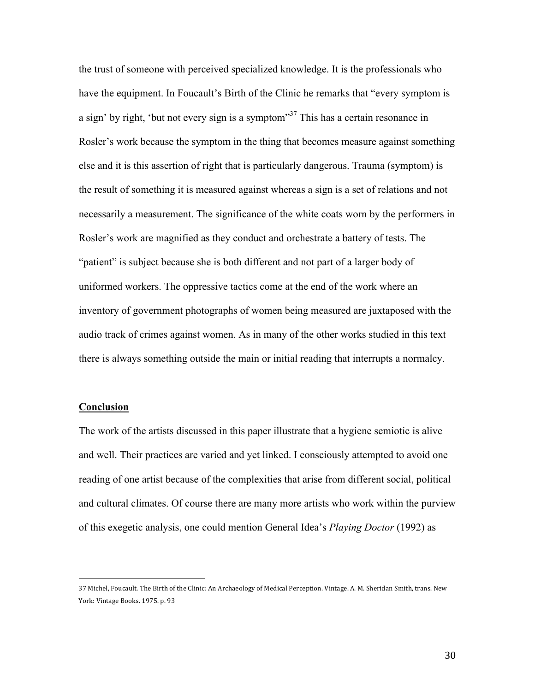the trust of someone with perceived specialized knowledge. It is the professionals who have the equipment. In Foucault's Birth of the Clinic he remarks that "every symptom is a sign' by right, 'but not every sign is a symptom'<sup>37</sup> This has a certain resonance in Rosler's work because the symptom in the thing that becomes measure against something else and it is this assertion of right that is particularly dangerous. Trauma (symptom) is the result of something it is measured against whereas a sign is a set of relations and not necessarily a measurement. The significance of the white coats worn by the performers in Rosler's work are magnified as they conduct and orchestrate a battery of tests. The "patient" is subject because she is both different and not part of a larger body of uniformed workers. The oppressive tactics come at the end of the work where an inventory of government photographs of women being measured are juxtaposed with the audio track of crimes against women. As in many of the other works studied in this text there is always something outside the main or initial reading that interrupts a normalcy.

#### **Conclusion**

!!!!!!!!!!!!!!!!!!!!!!!!!!!!!!!!!!!!!!!!!!!!!!!!!!!!!!!

The work of the artists discussed in this paper illustrate that a hygiene semiotic is alive and well. Their practices are varied and yet linked. I consciously attempted to avoid one reading of one artist because of the complexities that arise from different social, political and cultural climates. Of course there are many more artists who work within the purview of this exegetic analysis, one could mention General Idea's *Playing Doctor* (1992) as

<sup>37</sup> Michel, Foucault. The Birth of the Clinic: An Archaeology of Medical Perception. Vintage. A. M. Sheridan Smith, trans. New York: Vintage Books. 1975. p. 93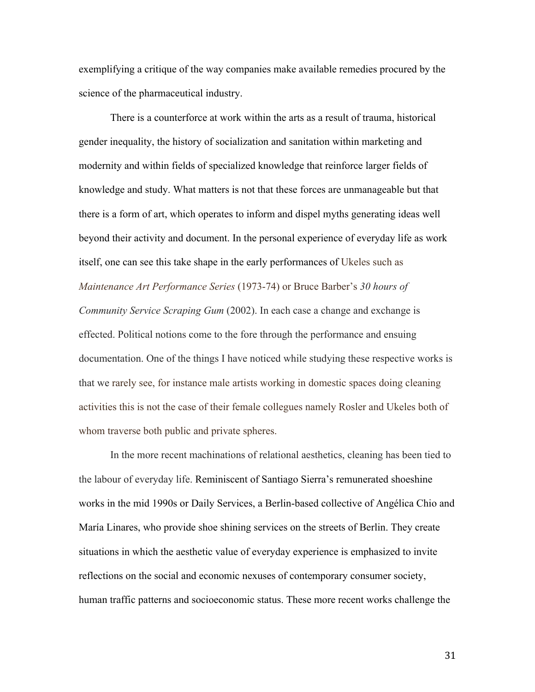exemplifying a critique of the way companies make available remedies procured by the science of the pharmaceutical industry.

There is a counterforce at work within the arts as a result of trauma, historical gender inequality, the history of socialization and sanitation within marketing and modernity and within fields of specialized knowledge that reinforce larger fields of knowledge and study. What matters is not that these forces are unmanageable but that there is a form of art, which operates to inform and dispel myths generating ideas well beyond their activity and document. In the personal experience of everyday life as work itself, one can see this take shape in the early performances of Ukeles such as *Maintenance Art Performance Series* (1973-74) or Bruce Barber's *30 hours of Community Service Scraping Gum* (2002). In each case a change and exchange is effected. Political notions come to the fore through the performance and ensuing documentation. One of the things I have noticed while studying these respective works is that we rarely see, for instance male artists working in domestic spaces doing cleaning activities this is not the case of their female collegues namely Rosler and Ukeles both of whom traverse both public and private spheres.

In the more recent machinations of relational aesthetics, cleaning has been tied to the labour of everyday life. Reminiscent of Santiago Sierra's remunerated shoeshine works in the mid 1990s or Daily Services, a Berlin-based collective of Angélica Chio and María Linares, who provide shoe shining services on the streets of Berlin. They create situations in which the aesthetic value of everyday experience is emphasized to invite reflections on the social and economic nexuses of contemporary consumer society, human traffic patterns and socioeconomic status. These more recent works challenge the

31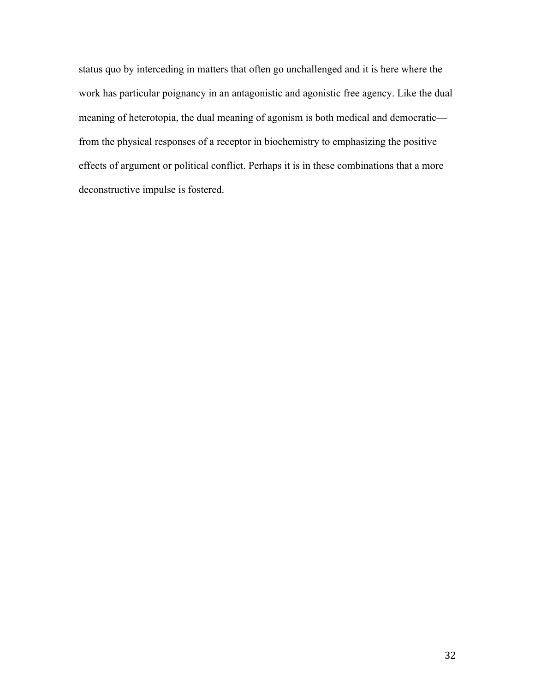status quo by interceding in matters that often go unchallenged and it is here where the work has particular poignancy in an antagonistic and agonistic free agency. Like the dual meaning of heterotopia, the dual meaning of agonism is both medical and democratic from the physical responses of a receptor in biochemistry to emphasizing the positive effects of argument or political conflict. Perhaps it is in these combinations that a more deconstructive impulse is fostered.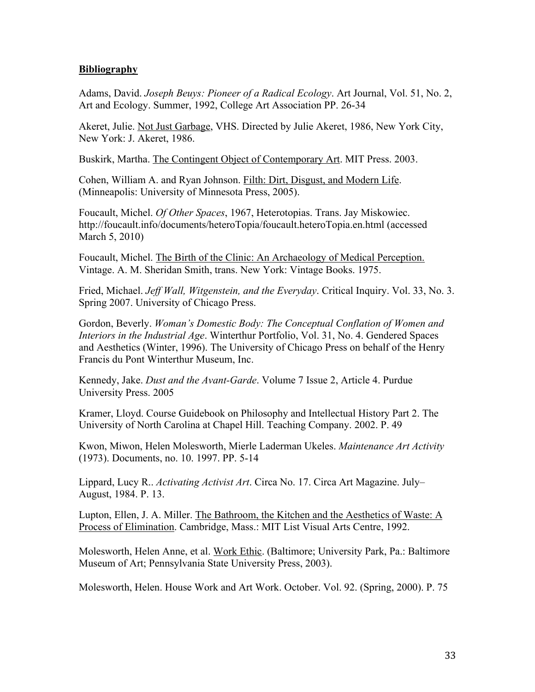## **Bibliography**

Adams, David. *Joseph Beuys: Pioneer of a Radical Ecology*. Art Journal, Vol. 51, No. 2, Art and Ecology. Summer, 1992, College Art Association PP. 26-34

Akeret, Julie. Not Just Garbage, VHS. Directed by Julie Akeret, 1986, New York City, New York: J. Akeret, 1986.

Buskirk, Martha. The Contingent Object of Contemporary Art. MIT Press. 2003.

Cohen, William A. and Ryan Johnson. Filth: Dirt, Disgust, and Modern Life. (Minneapolis: University of Minnesota Press, 2005).

Foucault, Michel. *Of Other Spaces*, 1967, Heterotopias. Trans. Jay Miskowiec. http://foucault.info/documents/heteroTopia/foucault.heteroTopia.en.html (accessed March 5, 2010)

Foucault, Michel. The Birth of the Clinic: An Archaeology of Medical Perception. Vintage. A. M. Sheridan Smith, trans. New York: Vintage Books. 1975.

Fried, Michael. *Jeff Wall, Witgenstein, and the Everyday*. Critical Inquiry. Vol. 33, No. 3. Spring 2007. University of Chicago Press.

Gordon, Beverly. *Woman's Domestic Body: The Conceptual Conflation of Women and Interiors in the Industrial Age*. Winterthur Portfolio, Vol. 31, No. 4. Gendered Spaces and Aesthetics (Winter, 1996). The University of Chicago Press on behalf of the Henry Francis du Pont Winterthur Museum, Inc.

Kennedy, Jake. *Dust and the Avant-Garde*. Volume 7 Issue 2, Article 4. Purdue University Press. 2005

Kramer, Lloyd. Course Guidebook on Philosophy and Intellectual History Part 2. The University of North Carolina at Chapel Hill. Teaching Company. 2002. P. 49

Kwon, Miwon, Helen Molesworth, Mierle Laderman Ukeles. *Maintenance Art Activity* (1973). Documents, no. 10. 1997. PP. 5-14

Lippard, Lucy R.. *Activating Activist Art*. Circa No. 17. Circa Art Magazine. July– August, 1984. P. 13.

Lupton, Ellen, J. A. Miller. The Bathroom, the Kitchen and the Aesthetics of Waste: A Process of Elimination. Cambridge, Mass.: MIT List Visual Arts Centre, 1992.

Molesworth, Helen Anne, et al. Work Ethic. (Baltimore; University Park, Pa.: Baltimore Museum of Art; Pennsylvania State University Press, 2003).

Molesworth, Helen. House Work and Art Work. October. Vol. 92. (Spring, 2000). P. 75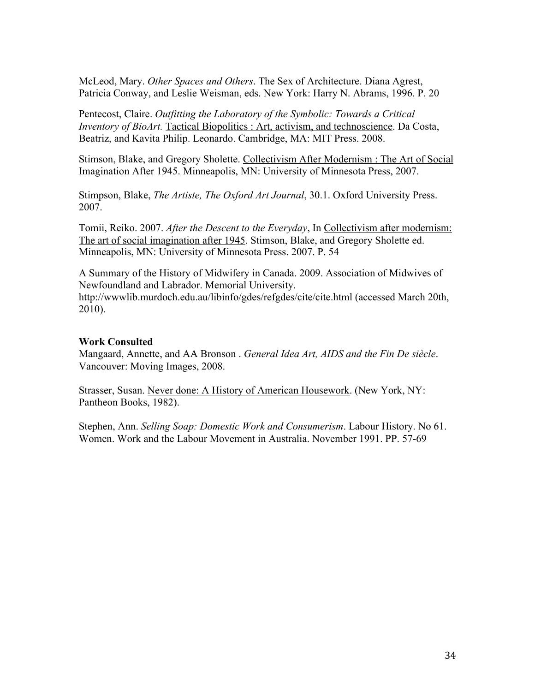McLeod, Mary. *Other Spaces and Others*. The Sex of Architecture. Diana Agrest, Patricia Conway, and Leslie Weisman, eds. New York: Harry N. Abrams, 1996. P. 20

Pentecost, Claire. *Outfitting the Laboratory of the Symbolic: Towards a Critical Inventory of BioArt*. Tactical Biopolitics : Art, activism, and technoscience. Da Costa, Beatriz, and Kavita Philip. Leonardo. Cambridge, MA: MIT Press. 2008.

Stimson, Blake, and Gregory Sholette. Collectivism After Modernism : The Art of Social Imagination After 1945. Minneapolis, MN: University of Minnesota Press, 2007.

Stimpson, Blake, *The Artiste, The Oxford Art Journal*, 30.1. Oxford University Press. 2007.

Tomii, Reiko. 2007. *After the Descent to the Everyday*, In Collectivism after modernism: The art of social imagination after 1945. Stimson, Blake, and Gregory Sholette ed. Minneapolis, MN: University of Minnesota Press. 2007. P. 54

A Summary of the History of Midwifery in Canada. 2009. Association of Midwives of Newfoundland and Labrador. Memorial University.

http://wwwlib.murdoch.edu.au/libinfo/gdes/refgdes/cite/cite.html (accessed March 20th, 2010).

# **Work Consulted**

Mangaard, Annette, and AA Bronson . *General Idea Art, AIDS and the Fin De siècle*. Vancouver: Moving Images, 2008.

Strasser, Susan. Never done: A History of American Housework. (New York, NY: Pantheon Books, 1982).

Stephen, Ann. *Selling Soap: Domestic Work and Consumerism*. Labour History. No 61. Women. Work and the Labour Movement in Australia. November 1991. PP. 57-69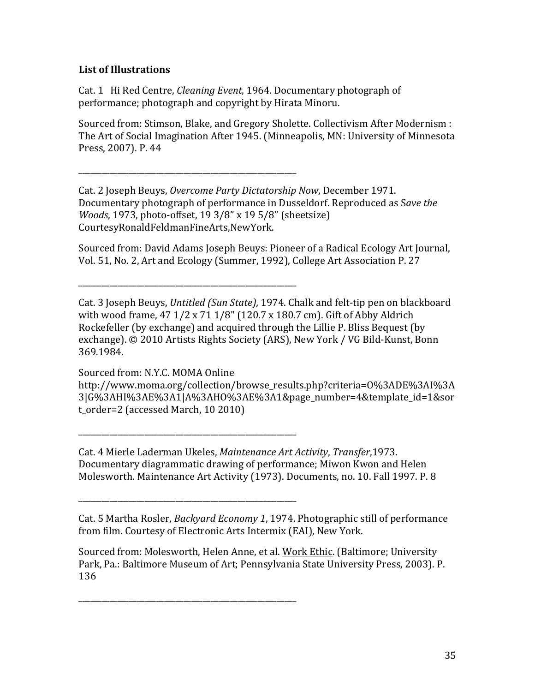# List of Illustrations

Cat. 1 Hi Red Centre, *Cleaning Event*, 1964. Documentary photograph of performance; photograph and copyright by Hirata Minoru.

\_\_\_\_\_\_\_\_\_\_\_\_\_\_\_\_\_\_\_\_\_\_\_\_\_\_\_\_\_\_\_\_\_\_\_\_\_\_\_\_\_\_\_\_\_\_\_\_\_\_\_\_\_\_\_\_

\_\_\_\_\_\_\_\_\_\_\_\_\_\_\_\_\_\_\_\_\_\_\_\_\_\_\_\_\_\_\_\_\_\_\_\_\_\_\_\_\_\_\_\_\_\_\_\_\_\_\_\_\_\_\_\_

\_\_\_\_\_\_\_\_\_\_\_\_\_\_\_\_\_\_\_\_\_\_\_\_\_\_\_\_\_\_\_\_\_\_\_\_\_\_\_\_\_\_\_\_\_\_\_\_\_\_\_\_\_\_\_\_

\_\_\_\_\_\_\_\_\_\_\_\_\_\_\_\_\_\_\_\_\_\_\_\_\_\_\_\_\_\_\_\_\_\_\_\_\_\_\_\_\_\_\_\_\_\_\_\_\_\_\_\_\_\_\_\_

\_\_\_\_\_\_\_\_\_\_\_\_\_\_\_\_\_\_\_\_\_\_\_\_\_\_\_\_\_\_\_\_\_\_\_\_\_\_\_\_\_\_\_\_\_\_\_\_\_\_\_\_\_\_\_\_

Sourced from: Stimson, Blake, and Gregory Sholette. Collectivism After Modernism : The Art of Social Imagination After 1945. (Minneapolis, MN: University of Minnesota Press, 2007). P. 44

Cat. 2 Joseph Beuys, *Overcome Party Dictatorship Now*, December 1971. Documentary photograph of performance in Dusseldorf. Reproduced as Save the *Woods*, 1973, photo-offset, 19 3/8" x 19 5/8" (sheetsize) CourtesyRonaldFeldmanFineArts,NewYork.!

Sourced from: David Adams Joseph Beuys: Pioneer of a Radical Ecology Art Journal, Vol. 51, No. 2, Art and Ecology (Summer, 1992), College Art Association P. 27

Cat. 3 Joseph Beuys, *Untitled (Sun State)*, 1974. Chalk and felt-tip pen on blackboard with wood frame, 47 1/2 x 71 1/8" (120.7 x 180.7 cm). Gift of Abby Aldrich Rockefeller (by exchange) and acquired through the Lillie P. Bliss Bequest (by exchange). © 2010 Artists Rights Society (ARS), New York / VG Bild-Kunst, Bonn 369.1984.!

Sourced from: N.Y.C. MOMA Online http://www.moma.org/collection/browse\_results.php?criteria=O%3ADE%3AI%3A 3|G%3AHI%3AE%3A1|A%3AHO%3AE%3A1&page\_number=4&template\_id=1&sor t\_order=2 (accessed March, 10 2010)

Cat. 4 Mierle Laderman Ukeles, *Maintenance Art Activity*, *Transfer*,1973. Documentary diagrammatic drawing of performance; Miwon Kwon and Helen Molesworth. Maintenance Art Activity (1973). Documents, no. 10. Fall 1997. P. 8

Cat. 5 Martha Rosler, *Backyard Economy 1*, 1974. Photographic still of performance from film. Courtesy of Electronic Arts Intermix (EAI), New York.

Sourced from: Molesworth, Helen Anne, et al. Work Ethic. (Baltimore; University Park, Pa.: Baltimore Museum of Art; Pennsylvania State University Press, 2003). P. 136